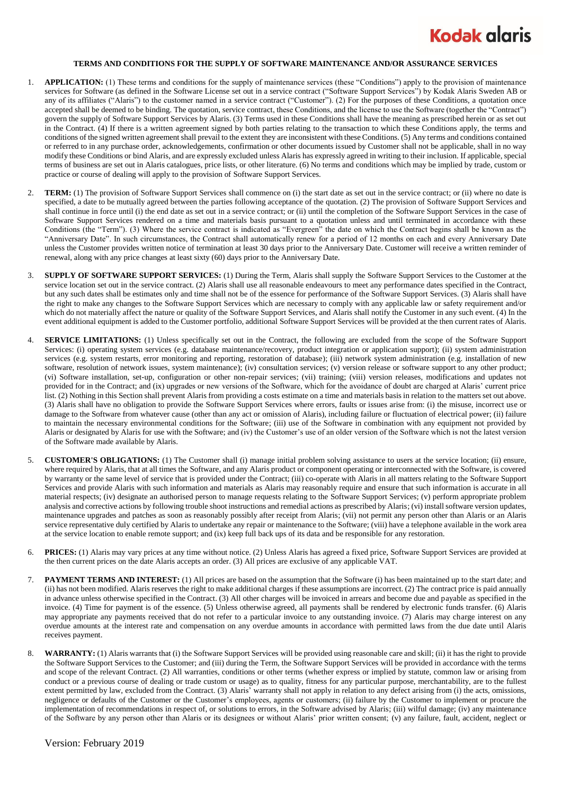

## **TERMS AND CONDITIONS FOR THE SUPPLY OF SOFTWARE MAINTENANCE AND/OR ASSURANCE SERVICES**

- 1. **APPLICATION:** (1) These terms and conditions for the supply of maintenance services (these "Conditions") apply to the provision of maintenance services for Software (as defined in the Software License set out in a service contract ("Software Support Services") by Kodak Alaris Sweden AB or any of its affiliates ("Alaris") to the customer named in a service contract ("Customer"). (2) For the purposes of these Conditions, a quotation once accepted shall be deemed to be binding. The quotation, service contract, these Conditions, and the license to use the Software (together the "Contract") govern the supply of Software Support Services by Alaris. (3) Terms used in these Conditions shall have the meaning as prescribed herein or as set out in the Contract. (4) If there is a written agreement signed by both parties relating to the transaction to which these Conditions apply, the terms and conditions of the signed written agreement shall prevail to the extent they are inconsistent with these Conditions. (5) Any terms and conditions contained or referred to in any purchase order, acknowledgements, confirmation or other documents issued by Customer shall not be applicable, shall in no way modify these Conditions or bind Alaris, and are expressly excluded unless Alaris has expressly agreed in writing to their inclusion. If applicable, special terms of business are set out in Alaris catalogues, price lists, or other literature. (6) No terms and conditions which may be implied by trade, custom or practice or course of dealing will apply to the provision of Software Support Services.
- 2. **TERM:** (1) The provision of Software Support Services shall commence on (i) the start date as set out in the service contract; or (ii) where no date is specified, a date to be mutually agreed between the parties following acceptance of the quotation. (2) The provision of Software Support Services and shall continue in force until (i) the end date as set out in a service contract; or (ii) until the completion of the Software Support Services in the case of Software Support Services rendered on a time and materials basis pursuant to a quotation unless and until terminated in accordance with these Conditions (the "Term"). (3) Where the service contract is indicated as "Evergreen" the date on which the Contract begins shall be known as the "Anniversary Date". In such circumstances, the Contract shall automatically renew for a period of 12 months on each and every Anniversary Date unless the Customer provides written notice of termination at least 30 days prior to the Anniversary Date. Customer will receive a written reminder of renewal, along with any price changes at least sixty (60) days prior to the Anniversary Date.
- 3. **SUPPLY OF SOFTWARE SUPPORT SERVICES:** (1) During the Term, Alaris shall supply the Software Support Services to the Customer at the service location set out in the service contract. (2) Alaris shall use all reasonable endeavours to meet any performance dates specified in the Contract, but any such dates shall be estimates only and time shall not be of the essence for performance of the Software Support Services. (3) Alaris shall have the right to make any changes to the Software Support Services which are necessary to comply with any applicable law or safety requirement and/or which do not materially affect the nature or quality of the Software Support Services, and Alaris shall notify the Customer in any such event. (4) In the event additional equipment is added to the Customer portfolio, additional Software Support Services will be provided at the then current rates of Alaris.
- 4. **SERVICE LIMITATIONS:** (1) Unless specifically set out in the Contract, the following are excluded from the scope of the Software Support Services: (i) operating system services (e.g. database maintenance/recovery, product integration or application support); (ii) system administration services (e.g. system restarts, error monitoring and reporting, restoration of database); (iii) network system administration (e.g. installation of new software, resolution of network issues, system maintenance); (iv) consultation services; (v) version release or software support to any other product; (vi) Software installation, set-up, configuration or other non-repair services; (vii) training; (viii) version releases, modifications and updates not provided for in the Contract; and (ix) upgrades or new versions of the Software, which for the avoidance of doubt are charged at Alaris' current price list. (2) Nothing in this Section shall prevent Alaris from providing a costs estimate on a time and materials basis in relation to the matters set out above. (3) Alaris shall have no obligation to provide the Software Support Services where errors, faults or issues arise from: (i) the misuse, incorrect use or damage to the Software from whatever cause (other than any act or omission of Alaris), including failure or fluctuation of electrical power; (ii) failure to maintain the necessary environmental conditions for the Software; (iii) use of the Software in combination with any equipment not provided by Alaris or designated by Alaris for use with the Software; and (iv) the Customer's use of an older version of the Software which is not the latest version of the Software made available by Alaris.
- 5. **CUSTOMER'S OBLIGATIONS:** (1) The Customer shall (i) manage initial problem solving assistance to users at the service location; (ii) ensure, where required by Alaris, that at all times the Software, and any Alaris product or component operating or interconnected with the Software, is covered by warranty or the same level of service that is provided under the Contract; (iii) co-operate with Alaris in all matters relating to the Software Support Services and provide Alaris with such information and materials as Alaris may reasonably require and ensure that such information is accurate in all material respects; (iv) designate an authorised person to manage requests relating to the Software Support Services; (v) perform appropriate problem analysis and corrective actions by following trouble shoot instructions and remedial actions as prescribed by Alaris; (vi) install software version updates, maintenance upgrades and patches as soon as reasonably possibly after receipt from Alaris; (vii) not permit any person other than Alaris or an Alaris service representative duly certified by Alaris to undertake any repair or maintenance to the Software; (viii) have a telephone available in the work area at the service location to enable remote support; and (ix) keep full back ups of its data and be responsible for any restoration.
- 6. **PRICES:** (1) Alaris may vary prices at any time without notice. (2) Unless Alaris has agreed a fixed price, Software Support Services are provided at the then current prices on the date Alaris accepts an order. (3) All prices are exclusive of any applicable VAT.
- 7. **PAYMENT TERMS AND INTEREST:** (1) All prices are based on the assumption that the Software (i) has been maintained up to the start date; and (ii) has not been modified. Alaris reserves the right to make additional charges if these assumptions are incorrect. (2) The contract price is paid annually in advance unless otherwise specified in the Contract. (3) All other charges will be invoiced in arrears and become due and payable as specified in the invoice. (4) Time for payment is of the essence. (5) Unless otherwise agreed, all payments shall be rendered by electronic funds transfer. (6) Alaris may appropriate any payments received that do not refer to a particular invoice to any outstanding invoice. (7) Alaris may charge interest on any overdue amounts at the interest rate and compensation on any overdue amounts in accordance with permitted laws from the due date until Alaris receives payment.
- WARRANTY: (1) Alaris warrants that (i) the Software Support Services will be provided using reasonable care and skill; (ii) it has the right to provide the Software Support Services to the Customer; and (iii) during the Term, the Software Support Services will be provided in accordance with the terms and scope of the relevant Contract. (2) All warranties, conditions or other terms (whether express or implied by statute, common law or arising from conduct or a previous course of dealing or trade custom or usage) as to quality, fitness for any particular purpose, merchantability, are to the fullest extent permitted by law, excluded from the Contract. (3) Alaris' warranty shall not apply in relation to any defect arising from (i) the acts, omissions, negligence or defaults of the Customer or the Customer's employees, agents or customers; (ii) failure by the Customer to implement or procure the implementation of recommendations in respect of, or solutions to errors, in the Software advised by Alaris; (iii) wilful damage; (iv) any maintenance of the Software by any person other than Alaris or its designees or without Alaris' prior written consent; (v) any failure, fault, accident, neglect or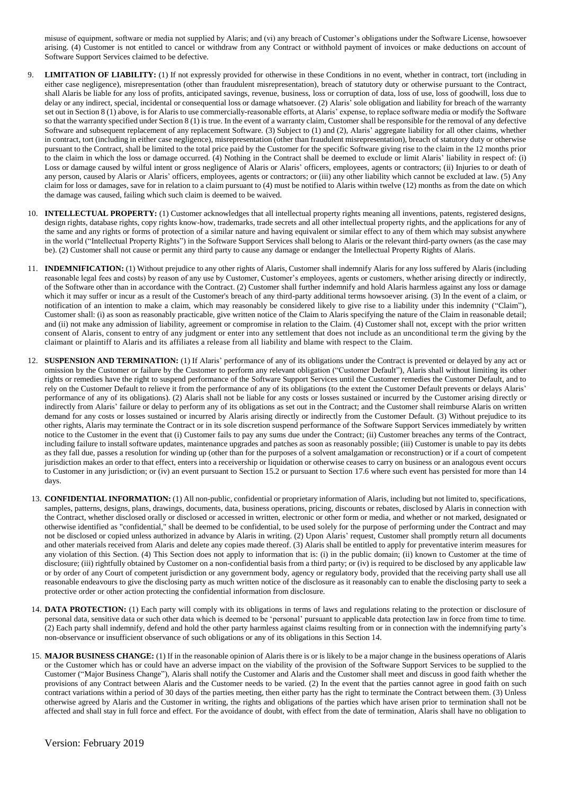misuse of equipment, software or media not supplied by Alaris; and (vi) any breach of Customer's obligations under the Software License, howsoever arising. (4) Customer is not entitled to cancel or withdraw from any Contract or withhold payment of invoices or make deductions on account of Software Support Services claimed to be defective.

- 9. **LIMITATION OF LIABILITY:** (1) If not expressly provided for otherwise in these Conditions in no event, whether in contract, tort (including in either case negligence), misrepresentation (other than fraudulent misrepresentation), breach of statutory duty or otherwise pursuant to the Contract, shall Alaris be liable for any loss of profits, anticipated savings, revenue, business, loss or corruption of data, loss of use, loss of goodwill, loss due to delay or any indirect, special, incidental or consequential loss or damage whatsoever. (2) Alaris' sole obligation and liability for breach of the warranty set out in Section 8 (1) above, is for Alaris to use commercially-reasonable efforts, at Alaris' expense, to replace software media or modify the Software so that the warranty specified under Section 8 (1) is true. In the event of a warranty claim, Customer shall be responsible for the removal of any defective Software and subsequent replacement of any replacement Software. (3) Subject to (1) and (2), Alaris' aggregate liability for all other claims, whether in contract, tort (including in either case negligence), misrepresentation (other than fraudulent misrepresentation), breach of statutory duty or otherwise pursuant to the Contract, shall be limited to the total price paid by the Customer for the specific Software giving rise to the claim in the 12 months prior to the claim in which the loss or damage occurred. (4) Nothing in the Contract shall be deemed to exclude or limit Alaris' liability in respect of: (i) Loss or damage caused by wilful intent or gross negligence of Alaris or Alaris' officers, employees, agents or contractors; (ii) Injuries to or death of any person, caused by Alaris or Alaris' officers, employees, agents or contractors; or (iii) any other liability which cannot be excluded at law. (5) Any claim for loss or damages, save for in relation to a claim pursuant to (4) must be notified to Alaris within twelve (12) months as from the date on which the damage was caused, failing which such claim is deemed to be waived.
- 10. **INTELLECTUAL PROPERTY:** (1) Customer acknowledges that all intellectual property rights meaning all inventions, patents, registered designs, design rights, database rights, copy rights know-how, trademarks, trade secrets and all other intellectual property rights, and the applications for any of the same and any rights or forms of protection of a similar nature and having equivalent or similar effect to any of them which may subsist anywhere in the world ("Intellectual Property Rights") in the Software Support Services shall belong to Alaris or the relevant third-party owners (as the case may be). (2) Customer shall not cause or permit any third party to cause any damage or endanger the Intellectual Property Rights of Alaris.
- 11. **INDEMNIFICATION:** (1) Without prejudice to any other rights of Alaris, Customer shall indemnify Alaris for any loss suffered by Alaris (including reasonable legal fees and costs) by reason of any use by Customer, Customer's employees, agents or customers, whether arising directly or indirectly, of the Software other than in accordance with the Contract. (2) Customer shall further indemnify and hold Alaris harmless against any loss or damage which it may suffer or incur as a result of the Customer's breach of any third-party additional terms howsoever arising. (3) In the event of a claim, or notification of an intention to make a claim, which may reasonably be considered likely to give rise to a liability under this indemnity ("Claim"), Customer shall: (i) as soon as reasonably practicable, give written notice of the Claim to Alaris specifying the nature of the Claim in reasonable detail; and (ii) not make any admission of liability, agreement or compromise in relation to the Claim. (4) Customer shall not, except with the prior written consent of Alaris, consent to entry of any judgment or enter into any settlement that does not include as an unconditional te rm the giving by the claimant or plaintiff to Alaris and its affiliates a release from all liability and blame with respect to the Claim.
- 12. **SUSPENSION AND TERMINATION:** (1) If Alaris' performance of any of its obligations under the Contract is prevented or delayed by any act or omission by the Customer or failure by the Customer to perform any relevant obligation ("Customer Default"), Alaris shall without limiting its other rights or remedies have the right to suspend performance of the Software Support Services until the Customer remedies the Customer Default, and to rely on the Customer Default to relieve it from the performance of any of its obligations (to the extent the Customer Default prevents or delays Alaris' performance of any of its obligations). (2) Alaris shall not be liable for any costs or losses sustained or incurred by the Customer arising directly or indirectly from Alaris' failure or delay to perform any of its obligations as set out in the Contract; and the Customer shall reimburse Alaris on written demand for any costs or losses sustained or incurred by Alaris arising directly or indirectly from the Customer Default. (3) Without prejudice to its other rights, Alaris may terminate the Contract or in its sole discretion suspend performance of the Software Support Services immediately by written notice to the Customer in the event that (i) Customer fails to pay any sums due under the Contract; (ii) Customer breaches any terms of the Contract, including failure to install software updates, maintenance upgrades and patches as soon as reasonably possible; (iii) Customer is unable to pay its debts as they fall due, passes a resolution for winding up (other than for the purposes of a solvent amalgamation or reconstruction) or if a court of competent jurisdiction makes an order to that effect, enters into a receivership or liquidation or otherwise ceases to carry on business or an analogous event occurs to Customer in any jurisdiction; or (iv) an event pursuant to Section 15.2 or pursuant to Section 17.6 where such event has persisted for more than 14 days.
- 13. **CONFIDENTIAL INFORMATION:** (1) All non-public, confidential or proprietary information of Alaris, including but not limited to, specifications, samples, patterns, designs, plans, drawings, documents, data, business operations, pricing, discounts or rebates, disclosed by Alaris in connection with the Contract, whether disclosed orally or disclosed or accessed in written, electronic or other form or media, and whether or not marked, designated or otherwise identified as "confidential," shall be deemed to be confidential, to be used solely for the purpose of performing under the Contract and may not be disclosed or copied unless authorized in advance by Alaris in writing. (2) Upon Alaris' request, Customer shall promptly return all documents and other materials received from Alaris and delete any copies made thereof. (3) Alaris shall be entitled to apply for preventative interim measures for any violation of this Section. (4) This Section does not apply to information that is: (i) in the public domain; (ii) known to Customer at the time of disclosure; (iii) rightfully obtained by Customer on a non-confidential basis from a third party; or (iv) is required to be disclosed by any applicable law or by order of any Court of competent jurisdiction or any government body, agency or regulatory body, provided that the receiving party shall use all reasonable endeavours to give the disclosing party as much written notice of the disclosure as it reasonably can to enable the disclosing party to seek a protective order or other action protecting the confidential information from disclosure.
- 14. **DATA PROTECTION:** (1) Each party will comply with its obligations in terms of laws and regulations relating to the protection or disclosure of personal data, sensitive data or such other data which is deemed to be 'personal' pursuant to applicable data protection law in force from time to time. (2) Each party shall indemnify, defend and hold the other party harmless against claims resulting from or in connection with the indemnifying party's non-observance or insufficient observance of such obligations or any of its obligations in this Section 14.
- 15. **MAJOR BUSINESS CHANGE:** (1) If in the reasonable opinion of Alaris there is or is likely to be a major change in the business operations of Alaris or the Customer which has or could have an adverse impact on the viability of the provision of the Software Support Services to be supplied to the Customer ("Major Business Change"), Alaris shall notify the Customer and Alaris and the Customer shall meet and discuss in good faith whether the provisions of any Contract between Alaris and the Customer needs to be varied. (2) In the event that the parties cannot agree in good faith on such contract variations within a period of 30 days of the parties meeting, then either party has the right to terminate the Contract between them. (3) Unless otherwise agreed by Alaris and the Customer in writing, the rights and obligations of the parties which have arisen prior to termination shall not be affected and shall stay in full force and effect. For the avoidance of doubt, with effect from the date of termination, Alaris shall have no obligation to